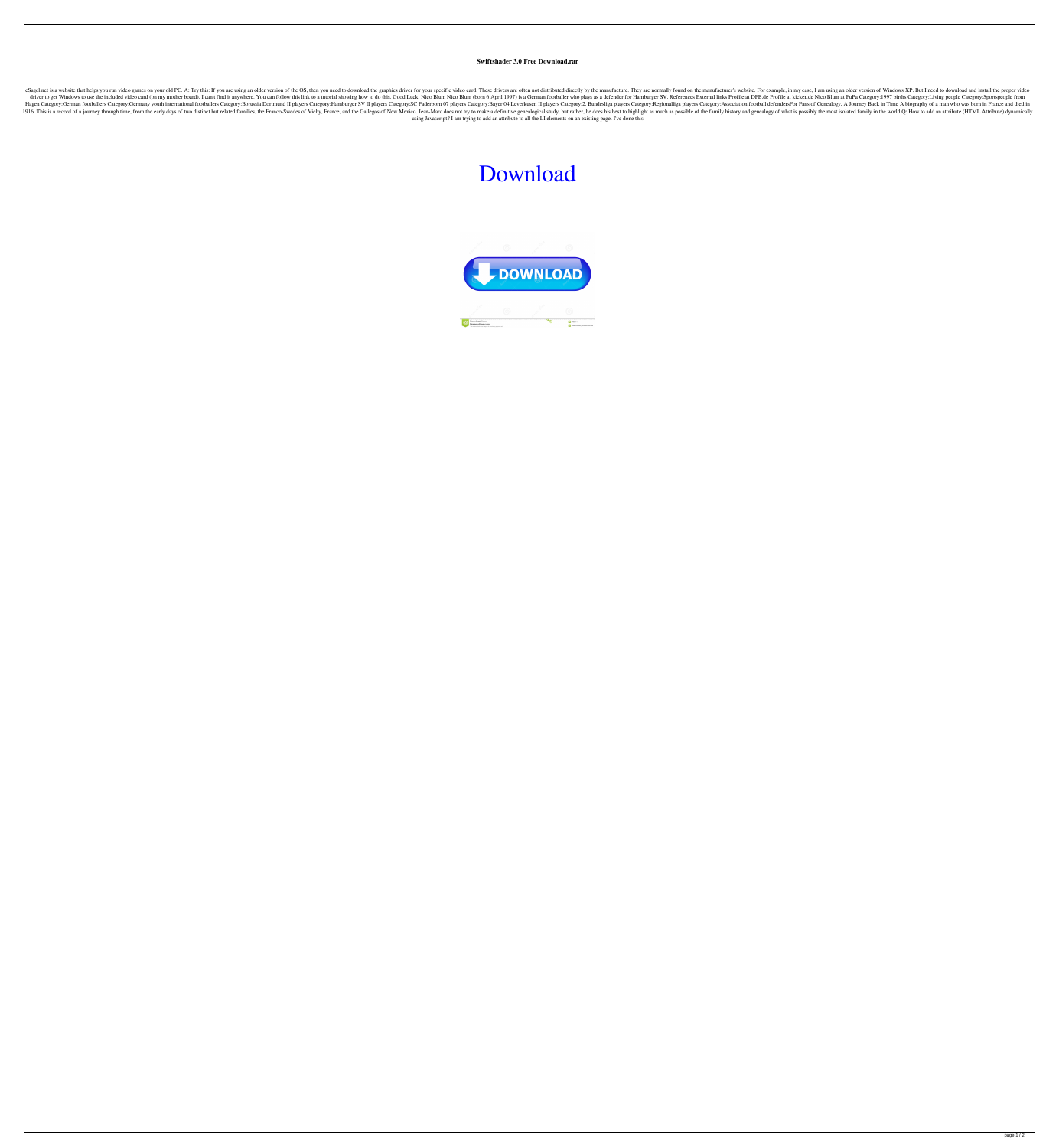## **Swiftshader 3.0 Free Download.rar**

eSagel.net is a website that helps you run video games on your old PC. A: Try this: If you are using an older version of the OS, then you need to download the graphics driver for your specific video card. These drivers are driver to get Windows to use the included video card (on my mother board). I can't find it anywhere. You can follow this link to a tutorial showing how to do this. Good Luck. Nico Blum (born 6 April 1997) is a German footb Hagen Category:German footballers Category:Germany youth international footballers Category:Borussia Dortmund II players Category:Hamburger SV II players Category:SC Paderborn 07 players Category:Begionalliga players Categ 1916. This is a record of a journey through time, from the early days of two distinct but related families, the Franco-Swedes of Vichy, France, and the Gallegos of New Mexico. Jean-Marc does not try to make a definitive ge using Javascript? I am trying to add an attribute to all the LI elements on an existing page. I've done this

## [Download](http://evacdir.com/cullen/placekicker.enlargened?&ZG93bmxvYWR8SU02TW5SNWNIeDhNVFkxTWpRMk16QTFNSHg4TWpVM05IeDhLRTBwSUhKbFlXUXRZbXh2WnlCYlJtRnpkQ0JIUlU1ZA=interlock&mansi=U3dpZnRzaGFkZXIgMy4wIEZyZWUgRG93bmxvYWQucmFyU3d&measles=piercarla)